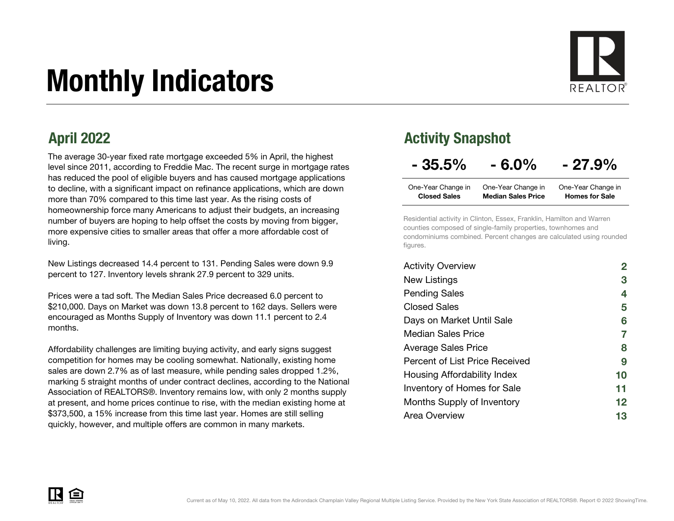# Monthly Indicators



The average 30-year fixed rate mortgage exceeded 5% in April, the highest level since 2011, according to Freddie Mac. The recent surge in mortgage rates has reduced the pool of eligible buyers and has caused mortgage applications to decline, with a significant impact on refinance applications, which are down more than 70% compared to this time last year. As the rising costs of homeownership force many Americans to adjust their budgets, an increasing number of buyers are hoping to help offset the costs by moving from bigger, more expensive cities to smaller areas that offer a more affordable cost of living.

New Listings decreased 14.4 percent to 131. Pending Sales were down 9.9 percent to 127. Inventory levels shrank 27.9 percent to 329 units.

Prices were a tad soft. The Median Sales Price decreased 6.0 percent to \$210,000. Days on Market was down 13.8 percent to 162 days. Sellers were encouraged as Months Supply of Inventory was down 11.1 percent to 2.4 months.

Affordability challenges are limiting buying activity, and early signs suggest competition for homes may be cooling somewhat. Nationally, existing home sales are down 2.7% as of last measure, while pending sales dropped 1.2%, marking 5 straight months of under contract declines, according to the National Association of REALTORS®. Inventory remains low, with only 2 months supply at present, and home prices continue to rise, with the median existing home at \$373,500, a 15% increase from this time last year. Homes are still selling quickly, however, and multiple offers are common in many markets.

### April 2022 Activity Snapshot

| $-35.5%$ | $-6.0\%$ | $-27.9%$ |
|----------|----------|----------|
|----------|----------|----------|

| One-Year Change in  | One-Year Change in        | One-Year Change in    |
|---------------------|---------------------------|-----------------------|
| <b>Closed Sales</b> | <b>Median Sales Price</b> | <b>Homes for Sale</b> |

Residential activity in Clinton, Essex, Franklin, Hamilton and Warren counties composed of single-family properties, townhomes and condominiums combined. Percent changes are calculated using rounded figures.

| <b>Activity Overview</b>       |    |
|--------------------------------|----|
| New Listings                   | 3  |
| <b>Pending Sales</b>           | 4  |
| <b>Closed Sales</b>            | 5  |
| Days on Market Until Sale      | 6  |
| Median Sales Price             | 7  |
| <b>Average Sales Price</b>     | 8  |
| Percent of List Price Received | 9  |
| Housing Affordability Index    | 10 |
| Inventory of Homes for Sale    | 11 |
| Months Supply of Inventory     | 12 |
| Area Overview                  | 13 |

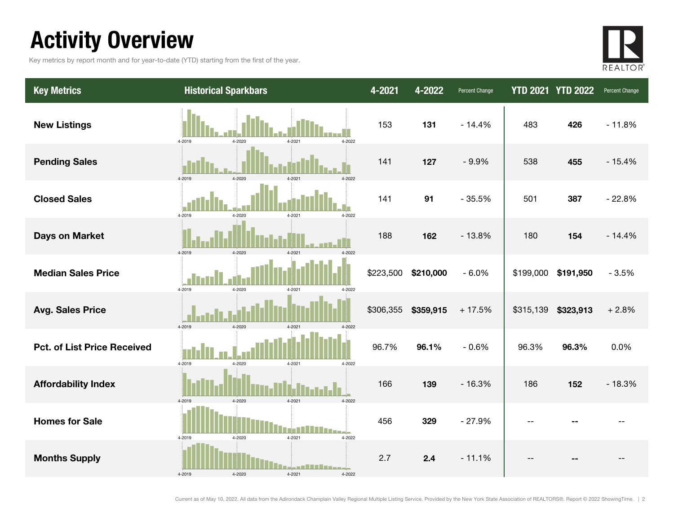### Activity Overview

Key metrics by report month and for year-to-date (YTD) starting from the first of the year.



| <b>Key Metrics</b>                 | <b>Historical Sparkbars</b>                        | 4-2021    | 4-2022    | Percent Change |           | <b>YTD 2021 YTD 2022</b> | Percent Change |
|------------------------------------|----------------------------------------------------|-----------|-----------|----------------|-----------|--------------------------|----------------|
| <b>New Listings</b>                | 4-2022<br>4-2019<br>4-2020<br>4-2021               | 153       | 131       | $-14.4%$       | 483       | 426                      | $-11.8%$       |
| <b>Pending Sales</b>               | 4-2019<br>4-2020<br>$4 - 202$                      | 141       | 127       | $-9.9%$        | 538       | 455                      | $-15.4%$       |
| <b>Closed Sales</b>                | 4-2019<br>4-2020<br>4-2021<br>4-2022               | 141       | 91        | $-35.5%$       | 501       | 387                      | $-22.8%$       |
| <b>Days on Market</b>              | 4-2019<br>$4 - 2020$                               | 188       | 162       | $-13.8%$       | 180       | 154                      | $-14.4%$       |
| <b>Median Sales Price</b>          | 4-2019<br>4-2020<br>4-2021<br>4-2022               | \$223,500 | \$210,000 | $-6.0%$        | \$199,000 | \$191,950                | $-3.5%$        |
| <b>Avg. Sales Price</b>            | 4-2019<br>4-2020<br>4-2021<br>4-2022               | \$306,355 | \$359,915 | $+17.5%$       | \$315,139 | \$323,913                | $+2.8%$        |
| <b>Pct. of List Price Received</b> | 4-2019<br>4-2020<br>4-2021<br>4-2022               | 96.7%     | 96.1%     | $-0.6%$        | 96.3%     | 96.3%                    | 0.0%           |
| <b>Affordability Index</b>         | 4-2019<br>4-2020<br>4-2022<br>4-2021               | 166       | 139       | $-16.3%$       | 186       | 152                      | $-18.3%$       |
| <b>Homes for Sale</b>              | $4 - 2021$<br>4-2019<br>4-2020<br>4-2022           | 456       | 329       | $-27.9%$       | $ -$      |                          |                |
| <b>Months Supply</b>               | __ <b>______</b> ___<br>4-2019<br>4-2021<br>4-2022 | 2.7       | 2.4       | $-11.1%$       |           |                          |                |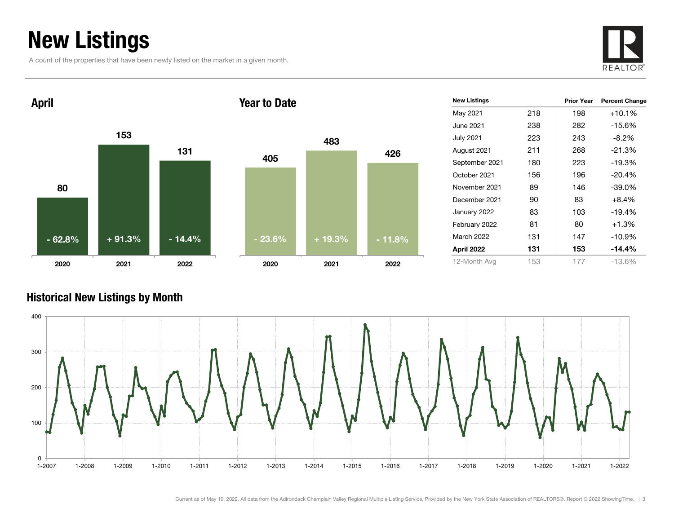### New Listings

A count of the properties that have been newly listed on the market in a given month.





| <b>New Listings</b> |     | <b>Prior Year</b> | <b>Percent Change</b> |
|---------------------|-----|-------------------|-----------------------|
| May 2021            | 218 | 198               | $+10.1%$              |
| June 2021           | 238 | 282               | $-15.6%$              |
| <b>July 2021</b>    | 223 | 243               | $-8.2\%$              |
| August 2021         | 211 | 268               | $-21.3%$              |
| September 2021      | 180 | 223               | $-19.3%$              |
| October 2021        | 156 | 196               | $-20.4%$              |
| November 2021       | 89  | 146               | $-39.0%$              |
| December 2021       | 90  | 83                | $+8.4%$               |
| January 2022        | 83  | 103               | $-19.4%$              |
| February 2022       | 81  | 80                | $+1.3%$               |
| March 2022          | 131 | 147               | $-10.9%$              |
| April 2022          | 131 | 153               | -14.4%                |
| 12-Month Avg        | 153 | 177               | $-13.6%$              |

#### Historical New Listings by Month

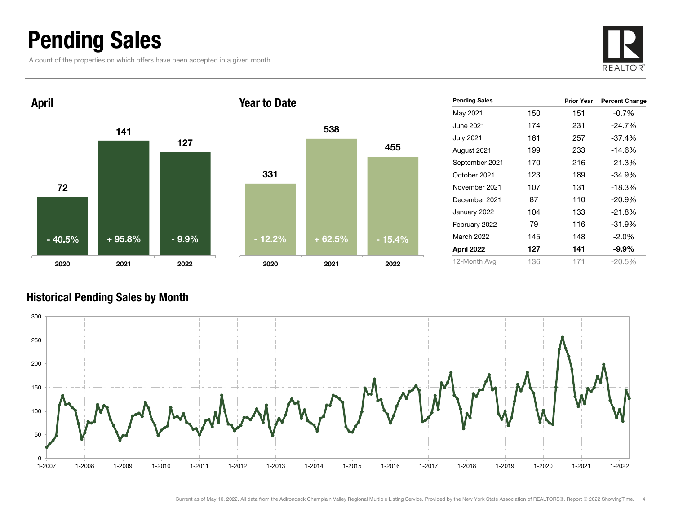### Pending Sales

A count of the properties on which offers have been accepted in a given month.





| <b>Pending Sales</b> |     | <b>Prior Year</b> | <b>Percent Change</b> |
|----------------------|-----|-------------------|-----------------------|
| May 2021             | 150 | 151               | $-0.7\%$              |
| June 2021            | 174 | 231               | $-24.7%$              |
| <b>July 2021</b>     | 161 | 257               | $-37.4%$              |
| August 2021          | 199 | 233               | $-14.6%$              |
| September 2021       | 170 | 216               | $-21.3%$              |
| October 2021         | 123 | 189               | -34.9%                |
| November 2021        | 107 | 131               | $-18.3%$              |
| December 2021        | 87  | 110               | $-20.9%$              |
| January 2022         | 104 | 133               | $-21.8%$              |
| February 2022        | 79  | 116               | $-31.9%$              |
| <b>March 2022</b>    | 145 | 148               | $-2.0%$               |
| April 2022           | 127 | 141               | $-9.9\%$              |
| 12-Month Avg         | 136 | 171               | $-20.5%$              |

#### Historical Pending Sales by Month

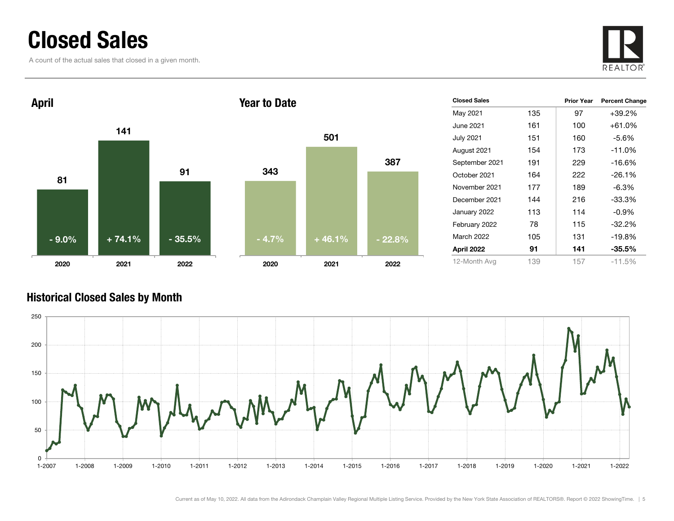### Closed Sales

A count of the actual sales that closed in a given month.





| <b>Closed Sales</b> |     | <b>Prior Year</b> | <b>Percent Change</b> |
|---------------------|-----|-------------------|-----------------------|
| May 2021            | 135 | 97                | +39.2%                |
| June 2021           | 161 | 100               | $+61.0%$              |
| <b>July 2021</b>    | 151 | 160               | $-5.6%$               |
| August 2021         | 154 | 173               | $-11.0%$              |
| September 2021      | 191 | 229               | $-16.6%$              |
| October 2021        | 164 | 222               | $-26.1%$              |
| November 2021       | 177 | 189               | $-6.3%$               |
| December 2021       | 144 | 216               | -33.3%                |
| January 2022        | 113 | 114               | $-0.9%$               |
| February 2022       | 78  | 115               | $-32.2%$              |
| March 2022          | 105 | 131               | $-19.8%$              |
| April 2022          | 91  | 141               | $-35.5%$              |
| 12-Month Avg        | 139 | 157               | $-11.5%$              |

#### Historical Closed Sales by Month

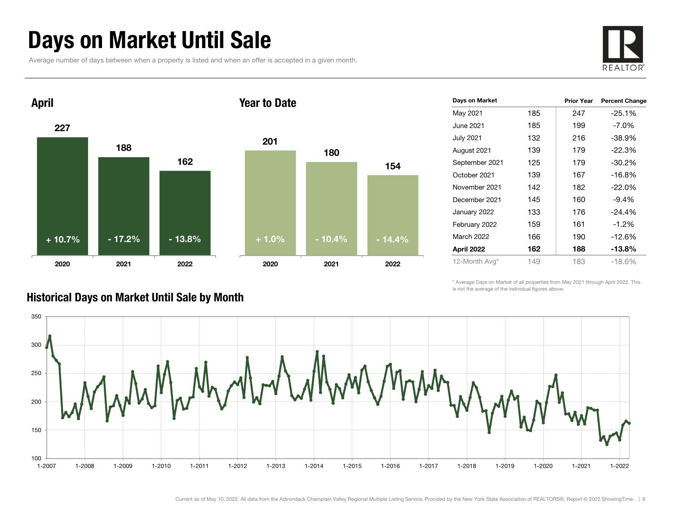### Days on Market Until Sale

Average number of days between when a property is listed and when an offer is accepted in a given month.





| Days on Market     |     | <b>Prior Year</b> | <b>Percent Change</b> |
|--------------------|-----|-------------------|-----------------------|
| May 2021           | 185 | 247               | $-25.1%$              |
| June 2021 <b>.</b> | 185 | 199               | $-7.0\%$              |
| <b>July 2021</b>   | 132 | 216               | $-38.9%$              |
| August 2021        | 139 | 179               | $-22.3%$              |
| September 2021     | 125 | 179               | $-30.2\%$             |
| October 2021       | 139 | 167               | $-16.8%$              |
| November 2021      | 142 | 182               | $-22.0%$              |
| December 2021      | 145 | 160               | $-9.4%$               |
| January 2022       | 133 | 176               | $-24.4%$              |
| February 2022      | 159 | 161               | $-1.2\%$              |
| <b>March 2022</b>  | 166 | 190               | $-12.6%$              |
| April 2022         | 162 | 188               | -13.8%                |
| 12-Month Avg*      | 149 | 183               | $-18.6\%$             |

\* Average Days on Market of all properties from May 2021 through April 2022. This is not the average of the individual figures above.



#### Historical Days on Market Until Sale by Month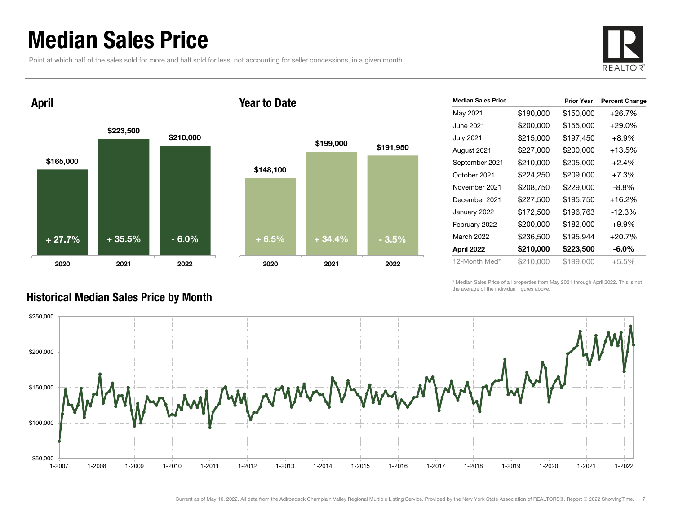### Median Sales Price

Point at which half of the sales sold for more and half sold for less, not accounting for seller concessions, in a given month.



April

#### Year to Date



| <b>Median Sales Price</b> |           | <b>Prior Year</b> | <b>Percent Change</b> |
|---------------------------|-----------|-------------------|-----------------------|
| May 2021                  | \$190,000 | \$150,000         | $+26.7%$              |
| June 2021                 | \$200,000 | \$155,000         | $+29.0\%$             |
| <b>July 2021</b>          | \$215,000 | \$197,450         | $+8.9%$               |
| August 2021               | \$227,000 | \$200,000         | $+13.5%$              |
| September 2021            | \$210,000 | \$205,000         | $+2.4%$               |
| October 2021              | \$224,250 | \$209,000         | $+7.3%$               |
| November 2021             | \$208,750 | \$229,000         | $-8.8\%$              |
| December 2021             | \$227,500 | \$195,750         | $+16.2%$              |
| January 2022              | \$172,500 | \$196,763         | $-12.3%$              |
| February 2022             | \$200,000 | \$182,000         | $+9.9%$               |
| <b>March 2022</b>         | \$236,500 | \$195,944         | $+20.7%$              |
| April 2022                | \$210,000 | \$223,500         | -6.0%                 |
| 12-Month Med*             | \$210,000 | \$199,000         | $+5.5\%$              |

\* Median Sales Price of all properties from May 2021 through April 2022. This is not the average of the individual figures above.



#### Historical Median Sales Price by Month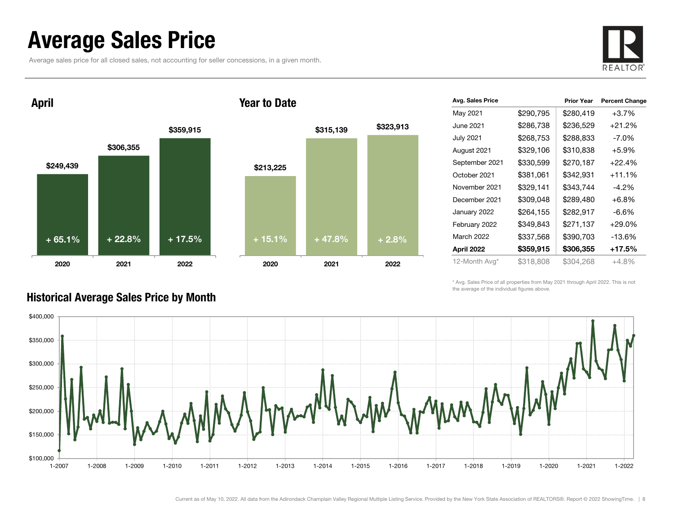### Average Sales Price

Average sales price for all closed sales, not accounting for seller concessions, in a given month.



\$249,439 \$306,355 \$359,915 2020 2021 2022 April \$213,225 \$315,139 \$323,913 2020 2021 2022 Year to Date+ 65.1% $+ 22.8\%$  + 17.5% + 15.1% + 47.8% + 2.8%

| Avg. Sales Price |           | <b>Prior Year</b> | <b>Percent Change</b> |
|------------------|-----------|-------------------|-----------------------|
| May 2021         | \$290,795 | \$280,419         | $+3.7%$               |
| June 2021        | \$286,738 | \$236,529         | $+21.2%$              |
| <b>July 2021</b> | \$268,753 | \$288,833         | $-7.0\%$              |
| August 2021      | \$329,106 | \$310,838         | $+5.9%$               |
| September 2021   | \$330,599 | \$270,187         | $+22.4%$              |
| October 2021     | \$381,061 | \$342,931         | $+11.1%$              |
| November 2021    | \$329,141 | \$343,744         | $-4.2\%$              |
| December 2021    | \$309,048 | \$289,480         | $+6.8%$               |
| January 2022     | \$264,155 | \$282,917         | $-6.6\%$              |
| February 2022    | \$349,843 | \$271,137         | $+29.0%$              |
| March 2022       | \$337,568 | \$390,703         | $-13.6%$              |
| April 2022       | \$359,915 | \$306,355         | +17.5%                |
| 12-Month Avg*    | \$318,808 | \$304,268         | $+4.8%$               |

\* Avg. Sales Price of all properties from May 2021 through April 2022. This is not the average of the individual figures above.



#### Historical Average Sales Price by Month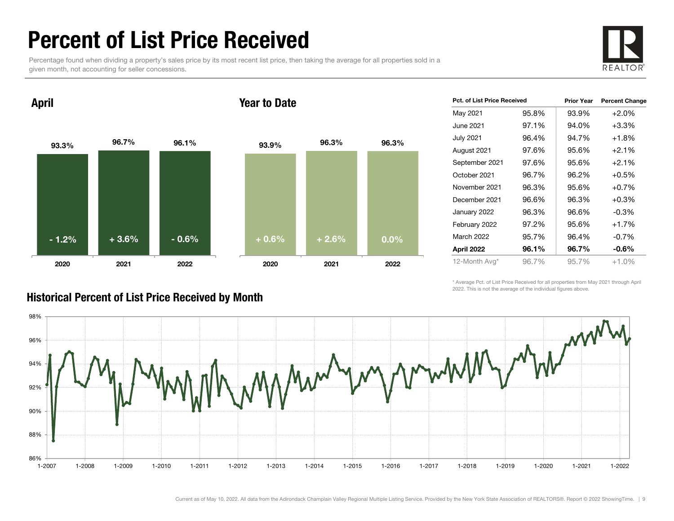### Percent of List Price Received

Percentage found when dividing a property's sales price by its most recent list price, then taking the average for all properties sold in a given month, not accounting for seller concessions.



93.3% 96.7% 96.1% 2020 2021 2022 April 93.9% 96.3% 96.3% 2020 2021 2022 Year to Date- 1.2% $\%$  + 3.6% + 0.6% + 0.6% + 0.6% + 2.6% + 0.0%

| Pct. of List Price Received |       | <b>Prior Year</b> | <b>Percent Change</b> |
|-----------------------------|-------|-------------------|-----------------------|
| May 2021                    | 95.8% | 93.9%             | $+2.0%$               |
| June 2021                   | 97.1% | 94.0%             | $+3.3%$               |
| <b>July 2021</b>            | 96.4% | 94.7%             | $+1.8%$               |
| August 2021                 | 97.6% | 95.6%             | $+2.1%$               |
| September 2021              | 97.6% | 95.6%             | $+2.1%$               |
| October 2021                | 96.7% | 96.2%             | $+0.5%$               |
| November 2021               | 96.3% | 95.6%             | $+0.7%$               |
| December 2021               | 96.6% | 96.3%             | $+0.3%$               |
| January 2022                | 96.3% | 96.6%             | $-0.3%$               |
| February 2022               | 97.2% | 95.6%             | $+1.7%$               |
| <b>March 2022</b>           | 95.7% | 96.4%             | $-0.7%$               |
| April 2022                  | 96.1% | 96.7%             | $-0.6\%$              |
| 12-Month Avg*               | 96.7% | 95.7%             | $+1.0%$               |

\* Average Pct. of List Price Received for all properties from May 2021 through April 2022. This is not the average of the individual figures above.



#### Historical Percent of List Price Received by Month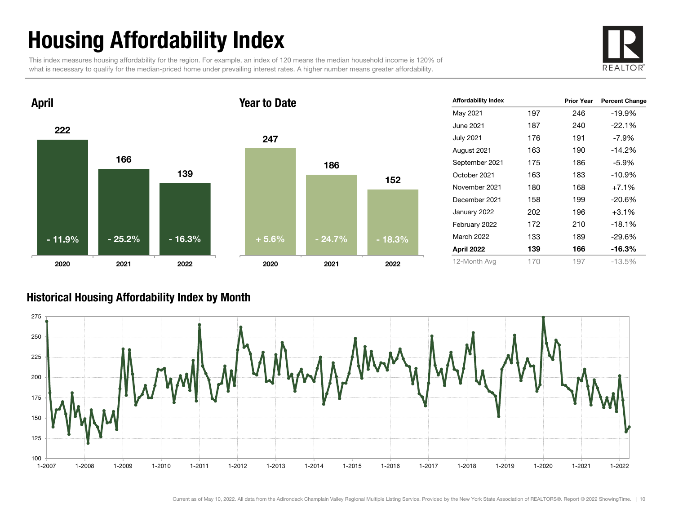# Housing Affordability Index

This index measures housing affordability for the region. For example, an index of 120 means the median household income is 120% of what is necessary to qualify for the median-priced home under prevailing interest rates. A higher number means greater affordability.





| Affordability Index |     | <b>Prior Year</b> | <b>Percent Change</b> |
|---------------------|-----|-------------------|-----------------------|
| May 2021            | 197 | 246               | $-19.9%$              |
| June 2021           | 187 | 240               | $-22.1%$              |
| July 2021           | 176 | 191               | $-7.9\%$              |
| August 2021         | 163 | 190               | $-14.2%$              |
| September 2021      | 175 | 186               | $-5.9%$               |
| October 2021        | 163 | 183               | $-10.9%$              |
| November 2021       | 180 | 168               | $+7.1%$               |
| December 2021       | 158 | 199               | $-20.6%$              |
| January 2022        | 202 | 196               | $+3.1%$               |
| February 2022       | 172 | 210               | $-18.1%$              |
| <b>March 2022</b>   | 133 | 189               | $-29.6%$              |
| April 2022          | 139 | 166               | $-16.3%$              |
| 12-Month Avg        | 170 | 197               | $-13.5%$              |

#### Historical Housing Affordability Index by Mont h

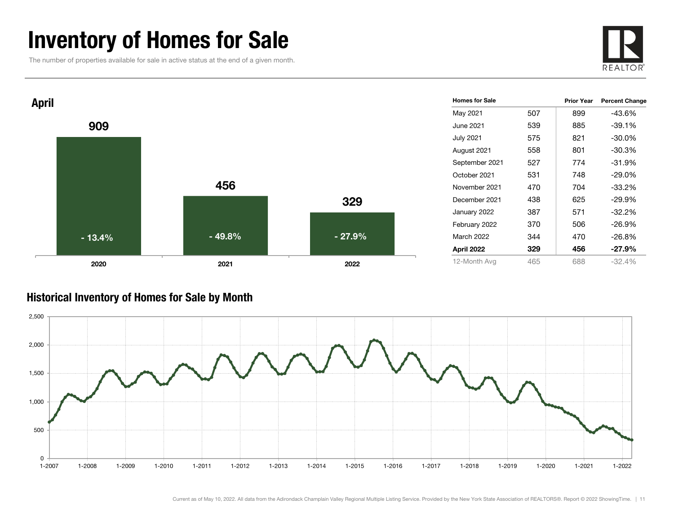### Inventory of Homes for Sale

The number of properties available for sale in active status at the end of a given month.





#### Historical Inventory of Homes for Sale by Month

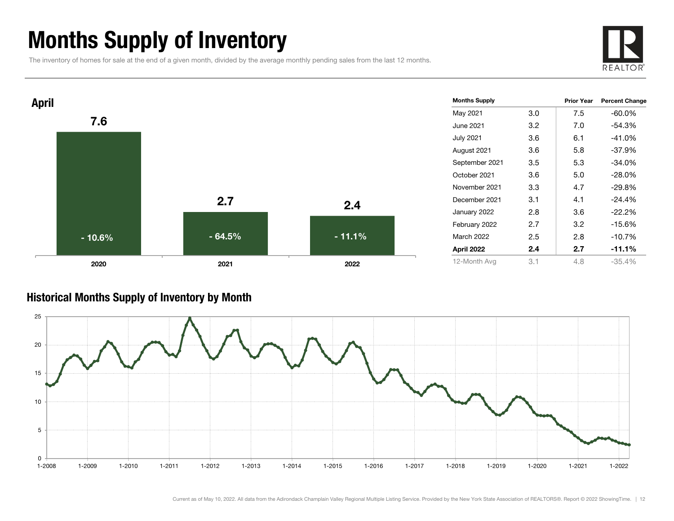### Months Supply of Inventory

The inventory of homes for sale at the end of a given month, divided by the average monthly pending sales from the last 12 months.





#### Historical Months Supply of Inventory by Month